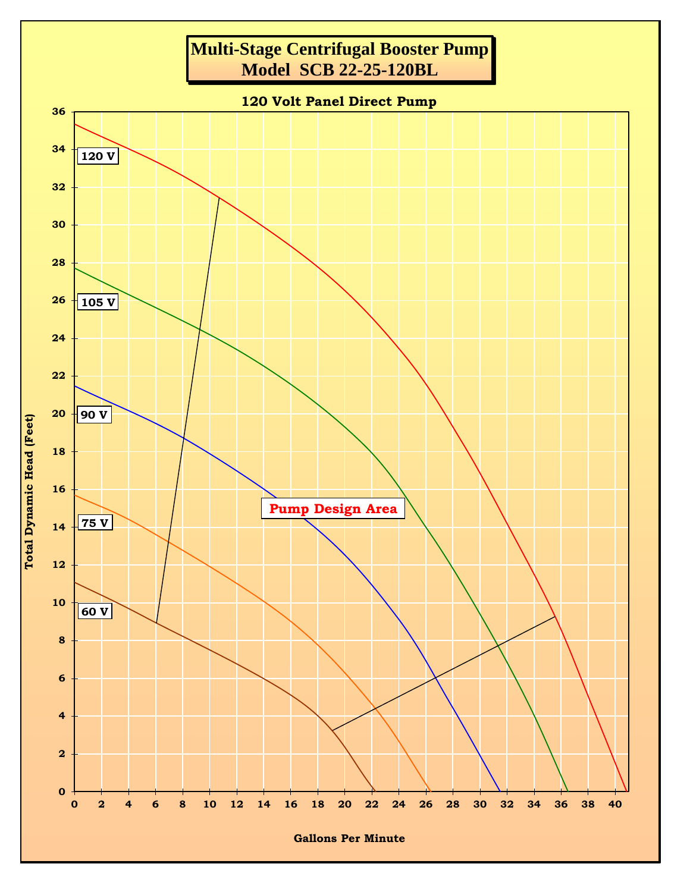